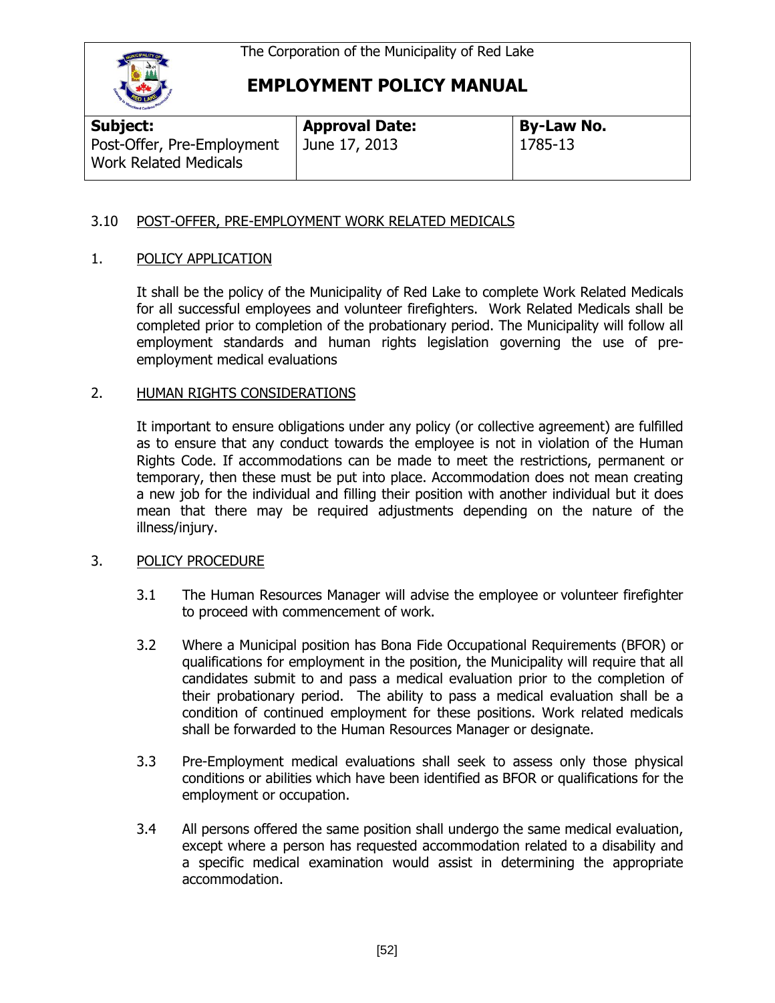

## **EMPLOYMENT POLICY MANUAL**

| Subject:                                                   | <b>Approval Date:</b> | <b>By-Law No.</b> |  |
|------------------------------------------------------------|-----------------------|-------------------|--|
| Post-Offer, Pre-Employment<br><b>Work Related Medicals</b> | June 17, 2013         | 1785-13           |  |

### 3.10 POST-OFFER, PRE-EMPLOYMENT WORK RELATED MEDICALS

### 1. POLICY APPLICATION

It shall be the policy of the Municipality of Red Lake to complete Work Related Medicals for all successful employees and volunteer firefighters. Work Related Medicals shall be completed prior to completion of the probationary period. The Municipality will follow all employment standards and human rights legislation governing the use of preemployment medical evaluations

#### 2. HUMAN RIGHTS CONSIDERATIONS

It important to ensure obligations under any policy (or collective agreement) are fulfilled as to ensure that any conduct towards the employee is not in violation of the Human Rights Code. If accommodations can be made to meet the restrictions, permanent or temporary, then these must be put into place. Accommodation does not mean creating a new job for the individual and filling their position with another individual but it does mean that there may be required adjustments depending on the nature of the illness/injury.

#### 3. POLICY PROCEDURE

- 3.1 The Human Resources Manager will advise the employee or volunteer firefighter to proceed with commencement of work.
- 3.2 Where a Municipal position has Bona Fide Occupational Requirements (BFOR) or qualifications for employment in the position, the Municipality will require that all candidates submit to and pass a medical evaluation prior to the completion of their probationary period. The ability to pass a medical evaluation shall be a condition of continued employment for these positions. Work related medicals shall be forwarded to the Human Resources Manager or designate.
- 3.3 Pre-Employment medical evaluations shall seek to assess only those physical conditions or abilities which have been identified as BFOR or qualifications for the employment or occupation.
- 3.4 All persons offered the same position shall undergo the same medical evaluation, except where a person has requested accommodation related to a disability and a specific medical examination would assist in determining the appropriate accommodation.